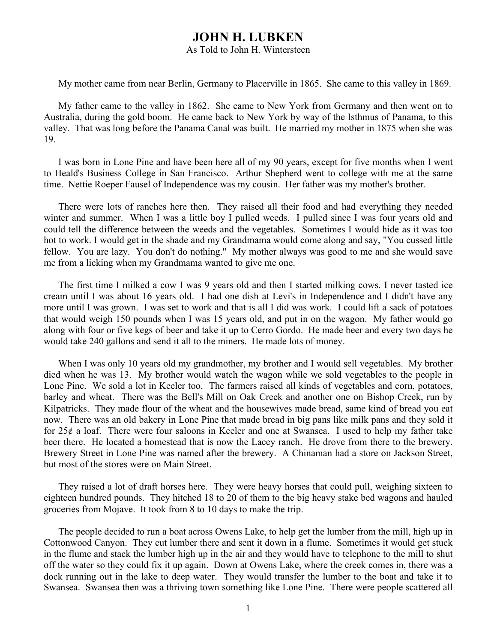## **JOHN H. LUBKEN**

## As Told to John H. Wintersteen

My mother came from near Berlin, Germany to Placerville in 1865. She came to this valley in 1869.

My father came to the valley in 1862. She came to New York from Germany and then went on to Australia, during the gold boom. He came back to New York by way of the Isthmus of Panama, to this valley. That was long before the Panama Canal was built. He married my mother in 1875 when she was 19.

I was born in Lone Pine and have been here all of my 90 years, except for five months when I went to Heald's Business College in San Francisco. Arthur Shepherd went to college with me at the same time. Nettie Roeper Fausel of Independence was my cousin. Her father was my mother's brother.

There were lots of ranches here then. They raised all their food and had everything they needed winter and summer. When I was a little boy I pulled weeds. I pulled since I was four years old and could tell the difference between the weeds and the vegetables. Sometimes I would hide as it was too hot to work. I would get in the shade and my Grandmama would come along and say, "You cussed little fellow. You are lazy. You don't do nothing." My mother always was good to me and she would save me from a licking when my Grandmama wanted to give me one.

The first time I milked a cow I was 9 years old and then I started milking cows. I never tasted ice cream until I was about 16 years old. I had one dish at Levi's in Independence and I didn't have any more until I was grown. I was set to work and that is all I did was work. I could lift a sack of potatoes that would weigh 150 pounds when I was 15 years old, and put in on the wagon. My father would go along with four or five kegs of beer and take it up to Cerro Gordo. He made beer and every two days he would take 240 gallons and send it all to the miners. He made lots of money.

When I was only 10 years old my grandmother, my brother and I would sell vegetables. My brother died when he was 13. My brother would watch the wagon while we sold vegetables to the people in Lone Pine. We sold a lot in Keeler too. The farmers raised all kinds of vegetables and corn, potatoes, barley and wheat. There was the Bell's Mill on Oak Creek and another one on Bishop Creek, run by Kilpatricks. They made flour of the wheat and the housewives made bread, same kind of bread you eat now. There was an old bakery in Lone Pine that made bread in big pans like milk pans and they sold it for 25¢ a loaf. There were four saloons in Keeler and one at Swansea. I used to help my father take beer there. He located a homestead that is now the Lacey ranch. He drove from there to the brewery. Brewery Street in Lone Pine was named after the brewery. A Chinaman had a store on Jackson Street, but most of the stores were on Main Street.

They raised a lot of draft horses here. They were heavy horses that could pull, weighing sixteen to eighteen hundred pounds. They hitched 18 to 20 of them to the big heavy stake bed wagons and hauled groceries from Mojave. It took from 8 to 10 days to make the trip.

The people decided to run a boat across Owens Lake, to help get the lumber from the mill, high up in Cottonwood Canyon. They cut lumber there and sent it down in a flume. Sometimes it would get stuck in the flume and stack the lumber high up in the air and they would have to telephone to the mill to shut off the water so they could fix it up again. Down at Owens Lake, where the creek comes in, there was a dock running out in the lake to deep water. They would transfer the lumber to the boat and take it to Swansea. Swansea then was a thriving town something like Lone Pine. There were people scattered all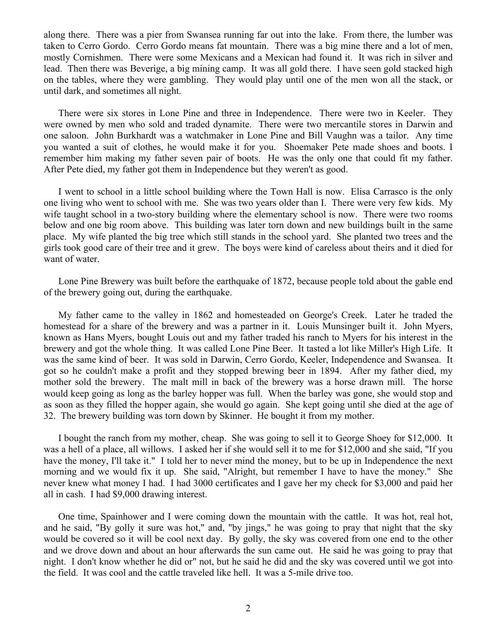along there. There was a pier from Swansea running far out into the lake. From there, the lumber was taken to Cerro Gordo. Cerro Gordo means fat mountain. There was a big mine there and a lot of men, mostly Cornishmen. There were some Mexicans and a Mexican had found it. It was rich in silver and lead. Then there was Beverige, a big mining camp. It was all gold there. I have seen gold stacked high on the tables, where they were gambling. They would play until one of the men won all the stack, or until dark, and sometimes all night.

There were six stores in Lone Pine and three in Independence. There were two in Keeler. They were owned by men who sold and traded dynamite. There were two mercantile stores in Darwin and one saloon. John Burkhardt was a watchmaker in Lone Pine and Bill Vaughn was a tailor. Any time you wanted a suit of clothes, he would make it for you. Shoemaker Pete made shoes and boots. I remember him making my father seven pair of boots. He was the only one that could fit my father. After Pete died, my father got them in Independence but they weren't as good.

I went to school in a little school building where the Town Hall is now. Elisa Carrasco is the only one living who went to school with me. She was two years older than I. There were very few kids. My wife taught school in a two-story building where the elementary school is now. There were two rooms below and one big room above. This building was later torn down and new buildings built in the same place. My wife planted the big tree which still stands in the school yard. She planted two trees and the girls took good care of their tree and it grew. The boys were kind of careless about theirs and it died for want of water.

Lone Pine Brewery was built before the earthquake of 1872, because people told about the gable end of the brewery going out, during the earthquake.

My father came to the valley in 1862 and homesteaded on George's Creek. Later he traded the homestead for a share of the brewery and was a partner in it. Louis Munsinger built it. John Myers, known as Hans Myers, bought Louis out and my father traded his ranch to Myers for his interest in the brewery and got the whole thing. It was called Lone Pine Beer. It tasted a lot like Miller's High Life. It was the same kind of beer. It was sold in Darwin, Cerro Gordo, Keeler, Independence and Swansea. It got so he couldn't make a profit and they stopped brewing beer in 1894. After my father died, my mother sold the brewery. The malt mill in back of the brewery was a horse drawn mill. The horse would keep going as long as the barley hopper was full. When the barley was gone, she would stop and as soon as they filled the hopper again, she would go again. She kept going until she died at the age of 32. The brewery building was torn down by Skinner. He bought it from my mother.

I bought the ranch from my mother, cheap. She was going to sell it to George Shoey for \$12,000. It was a hell of a place, all willows. I asked her if she would sell it to me for \$12,000 and she said, "If you have the money, I'll take it." I told her to never mind the money, but to be up in Independence the next morning and we would fix it up. She said, "Alright, but remember I have to have the money." She never knew what money I had. I had 3000 certificates and I gave her my check for \$3,000 and paid her all in cash. I had \$9,000 drawing interest.

One time, Spainhower and I were coming down the mountain with the cattle. It was hot, real hot, and he said, "By golly it sure was hot," and, "by jings," he was going to pray that night that the sky would be covered so it will be cool next day. By golly, the sky was covered from one end to the other and we drove down and about an hour afterwards the sun came out. He said he was going to pray that night. I don't know whether he did or" not, but he said he did and the sky was covered until we got into the field. It was cool and the cattle traveled like hell. It was a 5-mile drive too.